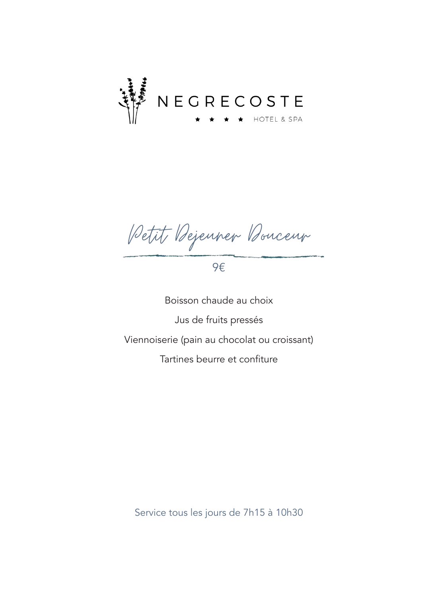

Petit Dejeuner Douceur

9€

Boisson chaude au choix Jus de fruits pressés Viennoiserie (pain au chocolat ou croissant) Tartines beurre et confiture

Service tous les jours de 7h15 à 10h30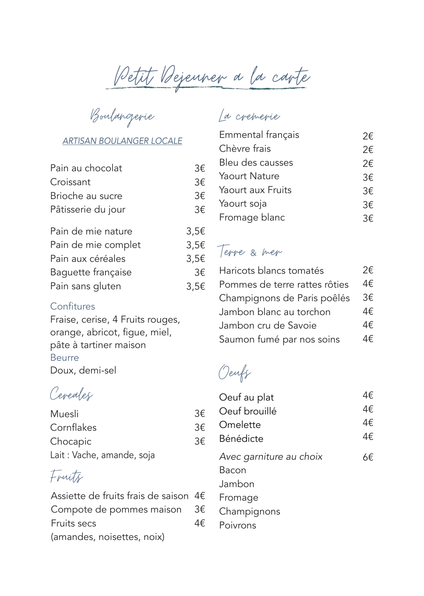Petit Dejeuner a la carte

Boulangerie

### *ARTISAN BOULANGER LOCALE*

| Pain au chocolat    | 3€        |
|---------------------|-----------|
| Croissant           | 3€        |
| Brioche au sucre    | 3€        |
| Pâtisserie du jour  | 3€        |
| Pain de mie nature  | $3,5 \in$ |
| Pain de mie complet | 3,5€      |
| Pain aux céréales   | 3,5€      |
| Baguette française  | 3€        |
| Pain sans gluten    | 3,5€      |
|                     |           |

#### **Confitures**

Fraise, cerise, 4 Fruits rouges, orange, abricot, figue, miel, pâte à tartiner maison Beurre Doux, demi-sel

Cereales

| Muesli                    | 3€ |
|---------------------------|----|
| Cornflakes                | 3€ |
| Chocapic                  | 3€ |
| Lait: Vache, amande, soja |    |

## Fruits

| Assiette de fruits frais de saison 4 $\epsilon$ |    |
|-------------------------------------------------|----|
| Compote de pommes maison $3\epsilon$            |    |
| <b>Fruits secs</b>                              | 4€ |
| (amandes, noisettes, noix)                      |    |

## La cremerie

| Emmental français | 2€ |
|-------------------|----|
| Chèvre frais      | 2€ |
| Bleu des causses  | 2€ |
| Yaourt Nature     | 3€ |
| Yaourt aux Fruits | 3€ |
| Yaourt soja       | 3€ |
| Fromage blanc     | २€ |

### Terre & mer

| Haricots blancs tomatés       | 2€ |
|-------------------------------|----|
| Pommes de terre rattes rôties | 4€ |
| Champignons de Paris poêlés   | 3€ |
| Jambon blanc au torchon       | 4€ |
| Jambon cru de Savoie          | 4€ |
| Saumon fumé par nos soins     | 4€ |

Oeufs

| Oeuf au plat            | 4€ |
|-------------------------|----|
| Oeuf brouillé           | 4€ |
| Omelette                | 4€ |
| Bénédicte               | 4€ |
| Avec garniture au choix | 6€ |
| Bacon                   |    |
| Jambon.                 |    |
| Fromage                 |    |
| Champignons             |    |
| Poivrons                |    |
|                         |    |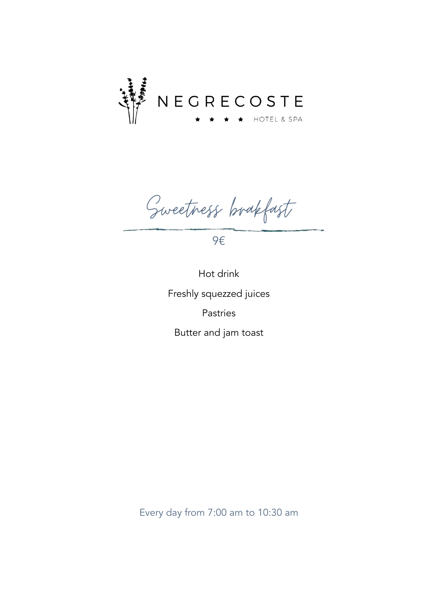

Sweetness brakfast

9€

Hot drink Freshly squezzed juices Pastries Butter and jam toast

Every day from 7:00 am to 10:30 am